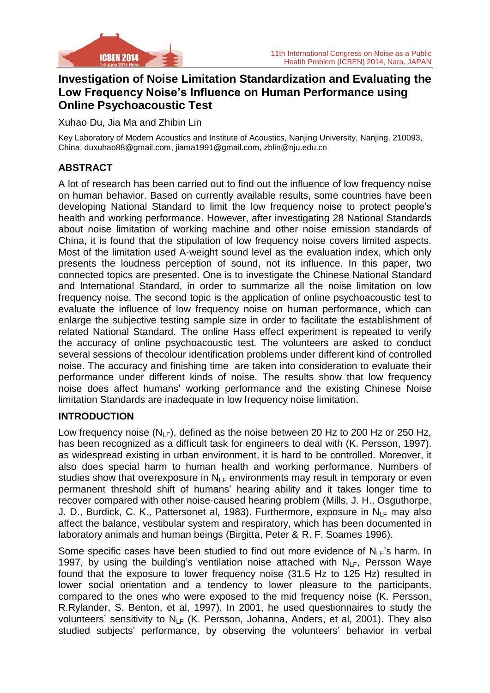

# **Investigation of Noise Limitation Standardization and Evaluating the Low Frequency Noise's Influence on Human Performance using Online Psychoacoustic Test**

Xuhao Du, Jia Ma and Zhibin Lin

Key Laboratory of Modern Acoustics and Institute of Acoustics, Nanjing University, Nanjing, 210093, China, [duxuhao88@gmail.com,](mailto:duxuhao88@gmail.com) jiama1991@gmail.com, zblin@nju.edu.cn

## **ABSTRACT**

A lot of research has been carried out to find out the influence of low frequency noise on human behavior. Based on currently available results, some countries have been developing National Standard to limit the low frequency noise to protect people's health and working performance. However, after investigating 28 National Standards about noise limitation of working machine and other noise emission standards of China, it is found that the stipulation of low frequency noise covers limited aspects. Most of the limitation used A-weight sound level as the evaluation index, which only presents the loudness perception of sound, not its influence. In this paper, two connected topics are presented. One is to investigate the Chinese National Standard and International Standard, in order to summarize all the noise limitation on low frequency noise. The second topic is the application of online psychoacoustic test to evaluate the influence of low frequency noise on human performance, which can enlarge the subjective testing sample size in order to facilitate the establishment of related National Standard. The online Hass effect experiment is repeated to verify the accuracy of online psychoacoustic test. The volunteers are asked to conduct several sessions of thecolour identification problems under different kind of controlled noise. The accuracy and finishing time are taken into consideration to evaluate their performance under different kinds of noise. The results show that low frequency noise does affect humans' working performance and the existing Chinese Noise limitation Standards are inadequate in low frequency noise limitation.

#### **INTRODUCTION**

Low frequency noise  $(N_{LF})$ , defined as the noise between 20 Hz to 200 Hz or 250 Hz, has been recognized as a difficult task for engineers to deal with (K. Persson, 1997). as widespread existing in urban environment, it is hard to be controlled. Moreover, it also does special harm to human health and working performance. Numbers of studies show that overexposure in  $N_{LF}$  environments may result in temporary or even permanent threshold shift of humans' hearing ability and it takes longer time to recover compared with other noise-caused hearing problem (Mills, J. H., Osguthorpe, J. D., Burdick, C. K., Pattersonet al, 1983). Furthermore, exposure in  $N_{LF}$  may also affect the balance, vestibular system and respiratory, which has been documented in laboratory animals and human beings (Birgitta, Peter & R. F. Soames 1996).

Some specific cases have been studied to find out more evidence of  $N_{LF}$ 's harm. In 1997, by using the building's ventilation noise attached with  $N_{LF}$ , Persson Waye found that the exposure to lower frequency noise (31.5 Hz to 125 Hz) resulted in lower social orientation and a tendency to lower pleasure to the participants, compared to the ones who were exposed to the mid frequency noise (K. Persson, R.Rylander, S. Benton, et al, 1997). In 2001, he used questionnaires to study the volunteers' sensitivity to  $N_{LF}$  (K. Persson, Johanna, Anders, et al, 2001). They also studied subjects' performance, by observing the volunteers' behavior in verbal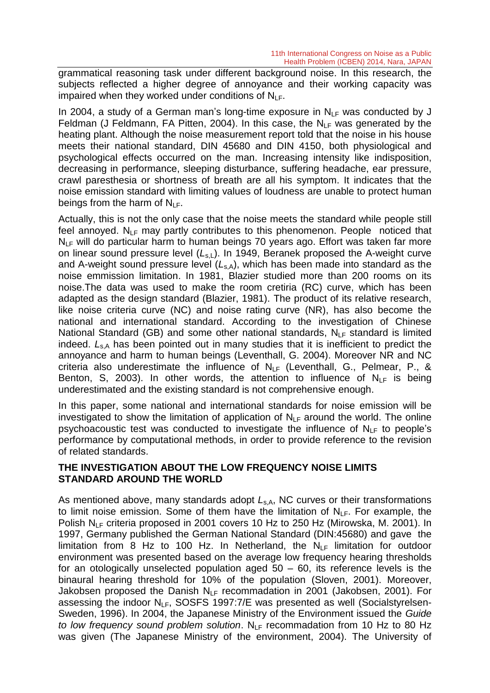grammatical reasoning task under different background noise. In this research, the subjects reflected a higher degree of annoyance and their working capacity was impaired when they worked under conditions of  $N_{\text{LE}}$ .

In 2004, a study of a German man's long-time exposure in  $N_{LF}$  was conducted by J Feldman (J Feldmann, FA Pitten, 2004). In this case, the  $N_{LF}$  was generated by the heating plant. Although the noise measurement report told that the noise in his house meets their national standard, DIN 45680 and DIN 4150, both physiological and psychological effects occurred on the man. Increasing intensity like indisposition, decreasing in performance, sleeping disturbance, suffering headache, ear pressure, crawl paresthesia or shortness of breath are all his symptom. It indicates that the noise emission standard with limiting values of loudness are unable to protect human beings from the harm of  $N_{LF}$ .

Actually, this is not the only case that the noise meets the standard while people still feel annoyed.  $N_{LF}$  may partly contributes to this phenomenon. People noticed that  $N_{LF}$  will do particular harm to human beings 70 years ago. Effort was taken far more on linear sound pressure level (L<sub>s,L</sub>). In 1949, Beranek proposed the A-weight curve and A-weight sound pressure level ( $L_{s,A}$ ), which has been made into standard as the noise emmission limitation. In 1981, Blazier studied more than 200 rooms on its noise.The data was used to make the room cretiria (RC) curve, which has been adapted as the design standard (Blazier, 1981). The product of its relative research, like noise criteria curve (NC) and noise rating curve (NR), has also become the national and international standard. According to the investigation of Chinese National Standard (GB) and some other national standards,  $N_{LF}$  standard is limited indeed.  $L_{s,A}$  has been pointed out in many studies that it is inefficient to predict the annoyance and harm to human beings (Leventhall, G. 2004). Moreover NR and NC criteria also underestimate the influence of  $N_{LF}$  (Leventhall, G., Pelmear, P., & Benton, S, 2003). In other words, the attention to influence of  $N_{LF}$  is being underestimated and the existing standard is not comprehensive enough.

In this paper, some national and international standards for noise emission will be investigated to show the limitation of application of  $N_{LF}$  around the world. The online psychoacoustic test was conducted to investigate the influence of  $N_{LF}$  to people's performance by computational methods, in order to provide reference to the revision of related standards.

#### **THE INVESTIGATION ABOUT THE LOW FREQUENCY NOISE LIMITS STANDARD AROUND THE WORLD**

As mentioned above, many standards adopt  $L_{s,A}$ , NC curves or their transformations to limit noise emission. Some of them have the limitation of  $N_{LF}$ . For example, the Polish N<sub>LF</sub> criteria proposed in 2001 covers 10 Hz to 250 Hz (Mirowska, M. 2001). In 1997, Germany published the German National Standard (DIN:45680) and gave the limitation from 8 Hz to 100 Hz. In Netherland, the  $N_{LF}$  limitation for outdoor environment was presented based on the average low frequency hearing thresholds for an otologically unselected population aged 50 – 60, its reference levels is the binaural hearing threshold for 10% of the population (Sloven, 2001). Moreover, Jakobsen proposed the Danish  $N_{\text{LE}}$  recommadation in 2001 (Jakobsen, 2001). For assessing the indoor  $N_{LF}$ , SOSFS 1997:7/E was presented as well (Socialstyrelsen-Sweden, 1996). In 2004, the Japanese Ministry of the Environment issued the *Guide to low frequency sound problem solution.*  $N_{LF}$  recommadation from 10 Hz to 80 Hz was given (The Japanese Ministry of the environment, 2004). The University of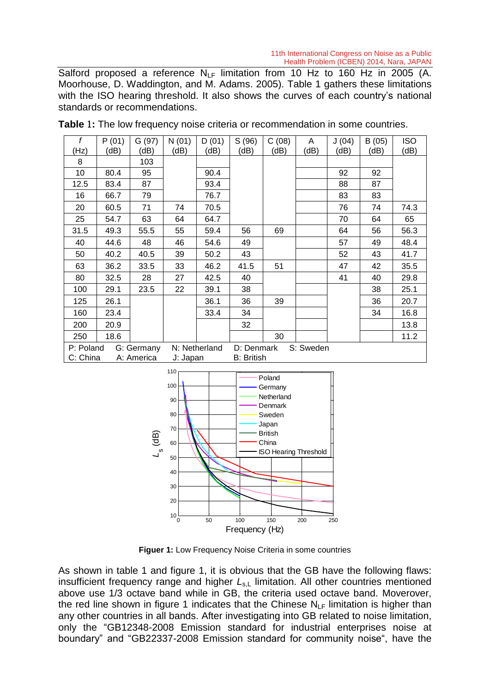Salford proposed a reference  $N_{LF}$  limitation from 10 Hz to 160 Hz in 2005 (A. Moorhouse, D. Waddington, and M. Adams. 2005). Table 1 gathers these limitations with the ISO hearing threshold. It also shows the curves of each country's national standards or recommendations.

| f                       | P(01) | G(97)    | N(01)         | D(01)             | S(96)                   | C(08) | A    | J(04) | B(05) | <b>ISO</b> |
|-------------------------|-------|----------|---------------|-------------------|-------------------------|-------|------|-------|-------|------------|
| (Hz)                    | (dB)  | (dB)     | (dB)          | (dB)              | (dB)                    | (dB)  | (dB) | (dB)  | (dB)  | (dB)       |
| 8                       |       | 103      |               |                   |                         |       |      |       |       |            |
| 10                      | 80.4  | 95       |               | 90.4              |                         |       |      | 92    | 92    |            |
| 12.5                    | 83.4  | 87       |               | 93.4              |                         |       |      | 88    | 87    |            |
| 16                      | 66.7  | 79       |               | 76.7              |                         |       |      | 83    | 83    |            |
| 20                      | 60.5  | 71       | 74            | 70.5              |                         |       |      | 76    | 74    | 74.3       |
| 25                      | 54.7  | 63       | 64            | 64.7              |                         |       |      | 70    | 64    | 65         |
| 31.5                    | 49.3  | 55.5     | 55            | 59.4              | 56                      | 69    |      | 64    | 56    | 56.3       |
| 40                      | 44.6  | 48       | 46            | 54.6              | 49                      |       |      | 57    | 49    | 48.4       |
| 50                      | 40.2  | 40.5     | 39            | 50.2              | 43                      |       |      | 52    | 43    | 41.7       |
| 63                      | 36.2  | 33.5     | 33            | 46.2              | 41.5                    | 51    |      | 47    | 42    | 35.5       |
| 80                      | 32.5  | 28       | 27            | 42.5              | 40                      |       |      | 41    | 40    | 29.8       |
| 100                     | 29.1  | 23.5     | 22            | 39.1              | 38                      |       |      |       | 38    | 25.1       |
| 125                     | 26.1  |          |               | 36.1              | 36                      | 39    |      |       | 36    | 20.7       |
| 160                     | 23.4  |          |               | 33.4              | 34                      |       |      |       | 34    | 16.8       |
| 200                     | 20.9  |          |               |                   | 32                      |       |      |       |       | 13.8       |
| 250                     | 18.6  |          |               |                   |                         | 30    |      |       |       | 11.2       |
| G: Germany<br>P: Poland |       |          | N: Netherland |                   | D: Denmark<br>S: Sweden |       |      |       |       |            |
| C: China<br>A: America  |       | J: Japan |               | <b>B: British</b> |                         |       |      |       |       |            |

**Table** 1**:** The low frequency noise criteria or recommendation in some countries.



**Figuer 1:** Low Frequency Noise Criteria in some countries

As shown in table 1 and figure 1, it is obvious that the GB have the following flaws: insufficient frequency range and higher  $L_{s,L}$  limitation. All other countries mentioned above use 1/3 octave band while in GB, the criteria used octave band. Moverover, the red line shown in figure 1 indicates that the Chinese  $N_{LF}$  limitation is higher than any other countries in all bands. After investigating into GB related to noise limitation, only the "GB12348-2008 Emission standard for industrial enterprises noise at boundary" and "GB22337-2008 Emission standard for community noise", have the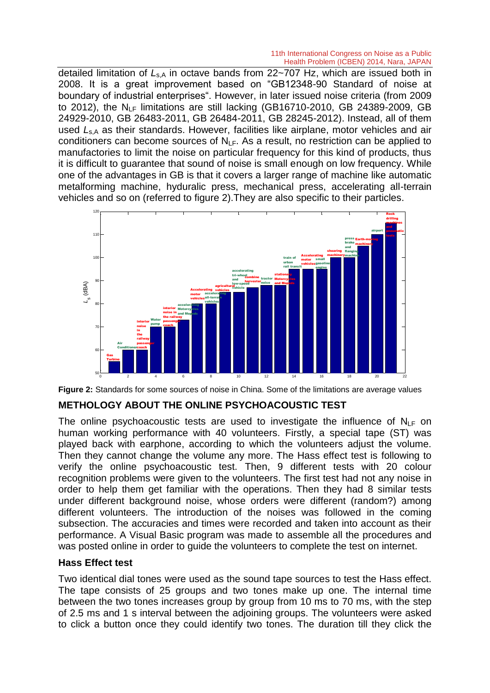detailed limitation of L<sub>s,A</sub> in octave bands from 22~707 Hz, which are issued both in 2008. It is a great improvement based on "GB12348-90 Standard of noise at boundary of industrial enterprises". However, in later issued noise criteria (from 2009 to 2012), the  $N_{LF}$  limitations are still lacking (GB16710-2010, GB 24389-2009, GB 24929-2010, GB 26483-2011, GB 26484-2011, GB 28245-2012). Instead, all of them used L<sub>s,A</sub> as their standards. However, facilities like airplane, motor vehicles and air conditioners can become sources of  $N_{\text{LE}}$ . As a result, no restriction can be applied to manufactories to limit the noise on particular frequency for this kind of products, thus it is difficult to guarantee that sound of noise is small enough on low frequency. While one of the advantages in GB is that it covers a larger range of machine like automatic metalforming machine, hyduralic press, mechanical press, accelerating all-terrain vehicles and so on (referred to figure 2).They are also specific to their particles.





#### **METHOLOGY ABOUT THE ONLINE PSYCHOACOUSTIC TEST**

The online psychoacoustic tests are used to investigate the influence of  $N_{\text{LE}}$  on human working performance with 40 volunteers. Firstly, a special tape (ST) was played back with earphone, according to which the volunteers adjust the volume. Then they cannot change the volume any more. The Hass effect test is following to verify the online psychoacoustic test. Then, 9 different tests with 20 colour recognition problems were given to the volunteers. The first test had not any noise in order to help them get familiar with the operations. Then they had 8 similar tests under different background noise, whose orders were different (random?) among different volunteers. The introduction of the noises was followed in the coming subsection. The accuracies and times were recorded and taken into account as their performance. A Visual Basic program was made to assemble all the procedures and was posted online in order to guide the volunteers to complete the test on internet.

#### **Hass Effect test**

Two identical dial tones were used as the sound tape sources to test the Hass effect. The tape consists of 25 groups and two tones make up one. The internal time between the two tones increases group by group from 10 ms to 70 ms, with the step of 2.5 ms and 1 s interval between the adjoining groups. The volunteers were asked to click a button once they could identify two tones. The duration till they click the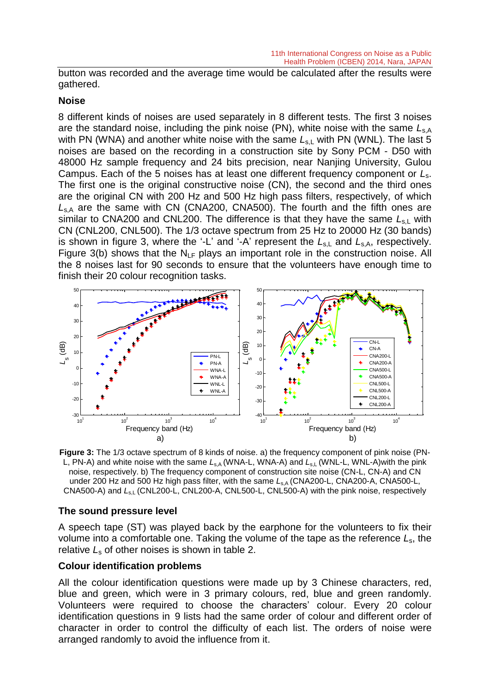button was recorded and the average time would be calculated after the results were gathered.

#### **Noise**

8 different kinds of noises are used separately in 8 different tests. The first 3 noises are the standard noise, including the pink noise (PN), white noise with the same *L*s,A with PN (WNA) and another white noise with the same  $L_{s,L}$  with PN (WNL). The last 5 noises are based on the recording in a construction site by Sony PCM - D50 with 48000 Hz sample frequency and 24 bits precision, near Nanjing University, Gulou Campus. Each of the 5 noises has at least one different frequency component or *L*s. The first one is the original constructive noise (CN), the second and the third ones are the original CN with 200 Hz and 500 Hz high pass filters, respectively, of which *L*s,A are the same with CN (CNA200, CNA500). The fourth and the fifth ones are similar to CNA200 and CNL200. The difference is that they have the same  $L_{s,L}$  with CN (CNL200, CNL500). The 1/3 octave spectrum from 25 Hz to 20000 Hz (30 bands) is shown in figure 3, where the '-L' and '-A' represent the  $L_{s,L}$  and  $L_{s,A}$ , respectively. Figure 3(b) shows that the  $N_{LF}$  plays an important role in the construction noise. All the 8 noises last for 90 seconds to ensure that the volunteers have enough time to finish their 20 colour recognition tasks.



**Figure 3:** The 1/3 octave spectrum of 8 kinds of noise. a) the frequency component of pink noise (PN-L, PN-A) and white noise with the same  $L_{s,A}$  (WNA-L, WNA-A) and  $L_{s,L}$  (WNL-L, WNL-A)with the pink noise, respectively. b) The frequency component of construction site noise (CN-L, CN-A) and CN under 200 Hz and 500 Hz high pass filter, with the same L<sub>s,A</sub> (CNA200-L, CNA200-A, CNA500-L, CNA500-A) and L<sub>s,L</sub> (CNL200-L, CNL200-A, CNL500-L, CNL500-A) with the pink noise, respectively

#### **The sound pressure level**

A speech tape (ST) was played back by the earphone for the volunteers to fix their volume into a comfortable one. Taking the volume of the tape as the reference *L*s, the relative *L*<sup>s</sup> of other noises is shown in table 2.

#### **Colour identification problems**

All the colour identification questions were made up by 3 Chinese characters, red, blue and green, which were in 3 primary colours, red, blue and green randomly. Volunteers were required to choose the characters' colour. Every 20 colour identification questions in 9 lists had the same order of colour and different order of character in order to control the difficulty of each list. The orders of noise were arranged randomly to avoid the influence from it.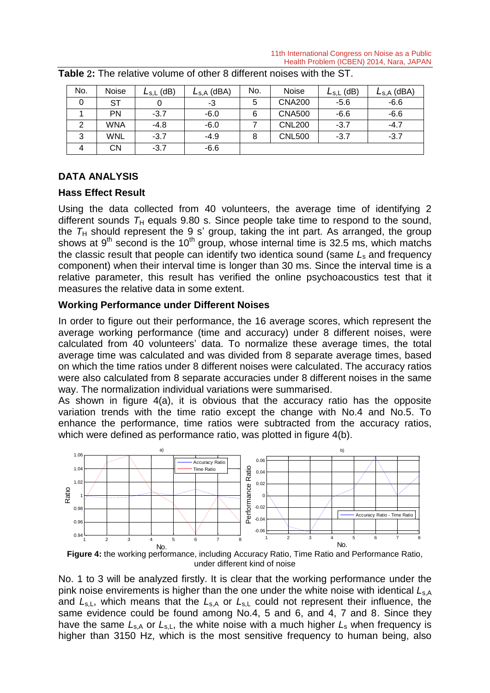| No. | <b>Noise</b> | (dB)<br>$L_{S,L}$ | $\mathsf{L}_{\mathsf{S},\mathsf{A}}$ (dBA) | No. | <b>Noise</b>  | $L_{\rm s,L}$ (dB) | $\mathsf{L}_{\mathsf{S},\mathsf{A}}$ (dBA) |
|-----|--------------|-------------------|--------------------------------------------|-----|---------------|--------------------|--------------------------------------------|
| 0   | SТ           | 0                 | -3                                         | 5   | <b>CNA200</b> | $-5.6$             | $-6.6$                                     |
|     | PN           | $-3.7$            | $-6.0$                                     | 6   | <b>CNA500</b> | $-6.6$             | $-6.6$                                     |
| 2   | WNA          | $-4.8$            | $-6.0$                                     |     | <b>CNL200</b> | $-3.7$             | $-4.7$                                     |
| 3   | <b>WNL</b>   | $-3.7$            | $-4.9$                                     | 8   | <b>CNL500</b> | $-3.7$             | $-3.7$                                     |
| 4   | CΝ           | $-3.7$            | $-6.6$                                     |     |               |                    |                                            |

**Table** 2**:** The relative volume of other 8 different noises with the ST.

# **DATA ANALYSIS**

#### **Hass Effect Result**

Using the data collected from 40 volunteers, the average time of identifying 2 different sounds  $T_H$  equals 9.80 s. Since people take time to respond to the sound, the  $T_H$  should represent the 9 s' group, taking the int part. As arranged, the group shows at  $9<sup>th</sup>$  second is the 10<sup>th</sup> group, whose internal time is 32.5 ms, which matchs the classic result that people can identify two identica sound (same *L*<sup>s</sup> and frequency component) when their interval time is longer than 30 ms. Since the interval time is a relative parameter, this result has verified the online psychoacoustics test that it measures the relative data in some extent.

### **Working Performance under Different Noises**

In order to figure out their performance, the 16 average scores, which represent the average working performance (time and accuracy) under 8 different noises, were calculated from 40 volunteers' data. To normalize these average times, the total average time was calculated and was divided from 8 separate average times, based arologie and the calculation and the annexation of opparate arologic annoy, succession which the time ratios under 8 different noises were calculated. The accuracy ratios were also calculated from 8 separate accuracies under 8 different noises in the same were also calculated from o separate accuracies under o ullier<br>way. The normalization individual variations were summarised.

As shown in figure 4(a), it is obvious that the accuracy ratio has the opposite variation trends with the time ratio except the change with No.4 and No.5. To enhance the performance, time ratios were subtracted from the accuracy ratios, which were defined as performance ratio, was plotted in figure  $4(b)$ .



**Figure 4:** the working performance, including Accuracy Ratio, Time Ratio and Performance Ratio, under different kind of noise

higher than 3150 Hz, which is the most sensitive frequency to human being, also  $\sim$ 0 and *L*<sub>s,L</sub>, which means that the *L*<sub>s,A</sub> or *L*<sub>s,L</sub> could not represent their influence, the No. 1 to 3 will be analyzed firstly. It is clear that the working performance under the lo.<br>ink<br>am<br>ave have the same  $L_{s,A}$  or  $L_{s,L}$ , the white noise with a much higher  $L_s$  when frequency is pink noise envirements is higher than the one under the white noise with identical  $L_{s,A}$ same evidence could be found among No.4, 5 and 6, and 4, 7 and 8. Since they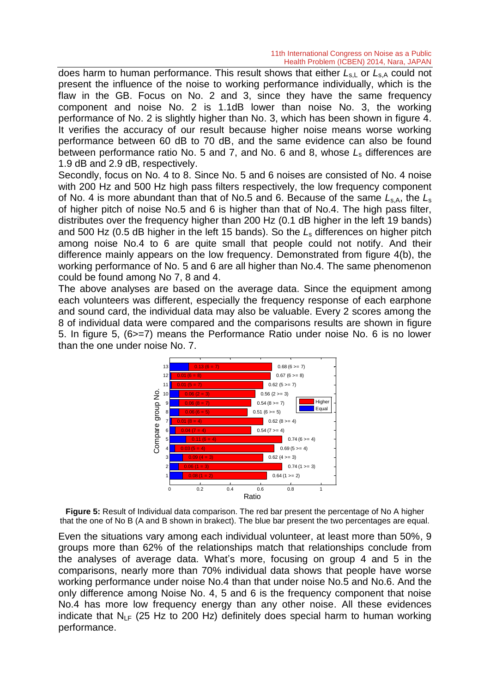does harm to human performance. This result shows that either  $L_{s,L}$  or  $L_{s,A}$  could not present the influence of the noise to working performance individually, which is the flaw in the GB. Focus on No. 2 and 3, since they have the same frequency component and noise No. 2 is 1.1dB lower than noise No. 3, the working performance of No. 2 is slightly higher than No. 3, which has been shown in figure 4. It verifies the accuracy of our result because higher noise means worse working performance between 60 dB to 70 dB, and the same evidence can also be found between performance ratio No. 5 and 7, and No. 6 and 8, whose *L*<sup>s</sup> differences are 1.9 dB and 2.9 dB, respectively.

Secondly, focus on No. 4 to 8. Since No. 5 and 6 noises are consisted of No. 4 noise with 200 Hz and 500 Hz high pass filters respectively, the low frequency component of No. 4 is more abundant than that of No.5 and 6. Because of the same  $L_{s,A}$ , the  $L_s$ of higher pitch of noise No.5 and 6 is higher than that of No.4. The high pass filter, distributes over the frequency higher than 200 Hz (0.1 dB higher in the left 19 bands) and 500 Hz (0.5 dB higher in the left 15 bands). So the *L*<sup>s</sup> differences on higher pitch among noise No.4 to 6 are quite small that people could not notify. And their difference mainly appears on the low frequency. Demonstrated from figure 4(b), the working performance of No. 5 and 6 are all higher than No.4. The same phenomenon could be found among No 7, 8 and 4.

The above analyses are based on the average data. Since the equipment among each volunteers was different, especially the frequency response of each earphone and sound card, the individual data may also be valuable. Every 2 scores among the 8 of individual data were compared and the comparisons results are shown in figure 5. In figure 5, (6>=7) means the Performance Ratio under noise No. 6 is no lower than the one under noise No. 7.



**Figure 5:** Result of Individual data comparison. The red bar present the percentage of No A higher that the one of No B (A and B shown in brakect). The blue bar present the two percentages are equal.

Even the situations vary among each individual volunteer, at least more than 50%, 9 groups more than 62% of the relationships match that relationships conclude from the analyses of average data. What's more, focusing on group 4 and 5 in the comparisons, nearly more than 70% individual data shows that people have worse working performance under noise No.4 than that under noise No.5 and No.6. And the only difference among Noise No. 4, 5 and 6 is the frequency component that noise No.4 has more low frequency energy than any other noise. All these evidences indicate that  $N_{IF}$  (25 Hz to 200 Hz) definitely does special harm to human working performance.